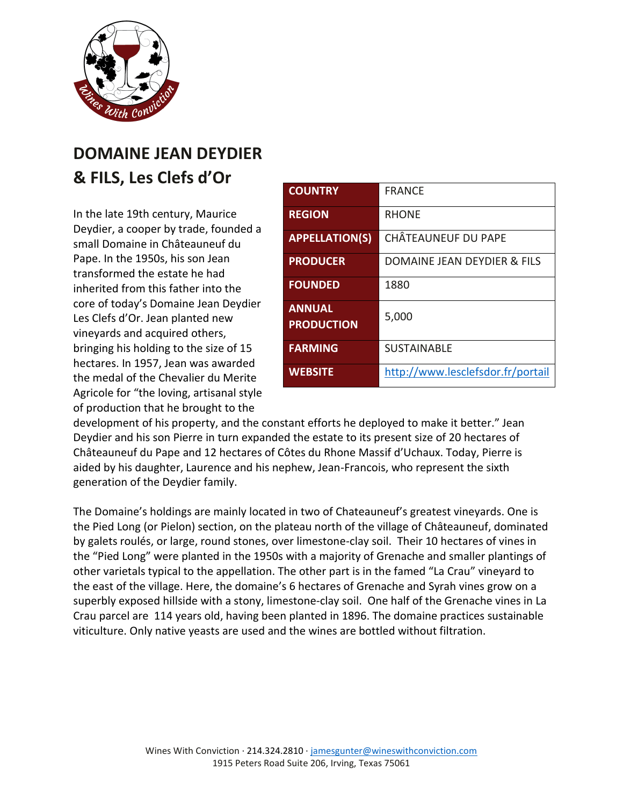

## **DOMAINE JEAN DEYDIER & FILS, Les Clefs d'Or**

In the late 19th century, Maurice Deydier, a cooper by trade, founded a small Domaine in Châteauneuf du Pape. In the 1950s, his son Jean transformed the estate he had inherited from this father into the core of today's Domaine Jean Deydier Les Clefs d'Or. Jean planted new vineyards and acquired others, bringing his holding to the size of 15 hectares. In 1957, Jean was awarded the medal of the Chevalier du Merite Agricole for "the loving, artisanal style of production that he brought to the

| <b>COUNTRY</b>                     | <b>FRANCE</b>                     |
|------------------------------------|-----------------------------------|
| <b>REGION</b>                      | <b>RHONF</b>                      |
| <b>APPELLATION(S)</b>              | CHÂTEAUNEUF DU PAPE               |
| <b>PRODUCER</b>                    | DOMAINE JEAN DEYDIER & FILS       |
| <b>FOUNDED</b>                     | 1880                              |
| <b>ANNUAL</b><br><b>PRODUCTION</b> | 5,000                             |
| <b>FARMING</b>                     | <b>SUSTAINABLE</b>                |
| <b>WEBSITE</b>                     | http://www.lesclefsdor.fr/portail |

development of his property, and the constant efforts he deployed to make it better." Jean Deydier and his son Pierre in turn expanded the estate to its present size of 20 hectares of Châteauneuf du Pape and 12 hectares of Côtes du Rhone Massif d'Uchaux. Today, Pierre is aided by his daughter, Laurence and his nephew, Jean-Francois, who represent the sixth generation of the Deydier family.

The Domaine's holdings are mainly located in two of Chateauneuf's greatest vineyards. One is the Pied Long (or Pielon) section, on the plateau north of the village of Châteauneuf, dominated by galets roulés, or large, round stones, over limestone-clay soil. Their 10 hectares of vines in the "Pied Long" were planted in the 1950s with a majority of Grenache and smaller plantings of other varietals typical to the appellation. The other part is in the famed "La Crau" vineyard to the east of the village. Here, the domaine's 6 hectares of Grenache and Syrah vines grow on a superbly exposed hillside with a stony, limestone-clay soil. One half of the Grenache vines in La Crau parcel are 114 years old, having been planted in 1896. The domaine practices sustainable viticulture. Only native yeasts are used and the wines are bottled without filtration.